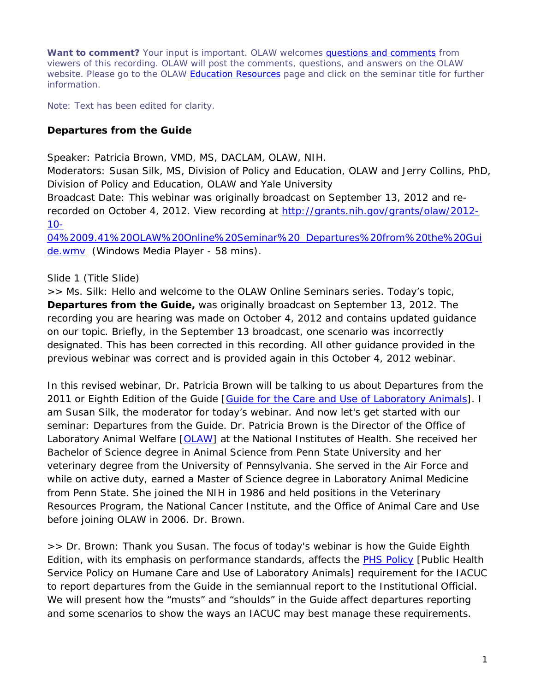**Want to comment?** Your input is important. OLAW welcomes [questions and comments](http://grants.nih.gov/grants/olaw/comments/add.htm) from viewers of this recording. OLAW will post the comments, questions, and answers on the OLAW website. Please go to the OLAW [Education Resources](http://grants.nih.gov/grants/olaw/educational_resources.htm) page and click on the seminar title for further information.

*Note: Text has been edited for clarity.*

#### **Departures from the** *Guide*

*Speaker: Patricia Brown, VMD, MS, DACLAM, OLAW, NIH. Moderators: Susan Silk, MS, Division of Policy and Education, OLAW and Jerry Collins, PhD, Division of Policy and Education, OLAW and Yale University Broadcast Date: This webinar was originally broadcast on September 13, 2012 and rerecorded on October 4, 2012. View recording at [http://grants.nih.gov/grants/olaw/2012-](http://grants.nih.gov/grants/olaw/2012-10-04%2009.41%20OLAW%20Online%20Seminar%20_Departures%20from%20the%20Guide.wmv) [10-](http://grants.nih.gov/grants/olaw/2012-10-04%2009.41%20OLAW%20Online%20Seminar%20_Departures%20from%20the%20Guide.wmv) [04%2009.41%20OLAW%20Online%20Seminar%20\\_Departures%20from%20the%20Gui](http://grants.nih.gov/grants/olaw/2012-10-04%2009.41%20OLAW%20Online%20Seminar%20_Departures%20from%20the%20Guide.wmv)*

*[de.wmv](http://grants.nih.gov/grants/olaw/2012-10-04%2009.41%20OLAW%20Online%20Seminar%20_Departures%20from%20the%20Guide.wmv) (Windows Media Player - 58 mins).*

#### Slide 1 (Title Slide)

*>> Ms. Silk:* Hello and welcome to the OLAW Online Seminars series. Today's topic, **Departures from the** *Guide***,** was originally broadcast on September 13, 2012. The recording you are hearing was made on October 4, 2012 and contains updated guidance on our topic. Briefly, in the September 13 broadcast, one scenario was incorrectly designated. This has been corrected in this recording. All other guidance provided in the previous webinar was correct and is provided again in this October 4, 2012 webinar.

In this revised webinar, Dr. Patricia Brown will be talking to us about Departures from the 2011 or Eighth Edition of the *Guide* [*[Guide for the Care and Use of Laboratory Animals](http://www.nap.edu/catalog.php?record_id=12910)*]. I am Susan Silk, the moderator for today's webinar. And now let's get started with our seminar: Departures from the *Guide*. Dr. Patricia Brown is the Director of the Office of Laboratory Animal Welfare [\[OLAW\]](http://grants.nih.gov/grants/olaw/olaw.htm) at the National Institutes of Health. She received her Bachelor of Science degree in Animal Science from Penn State University and her veterinary degree from the University of Pennsylvania. She served in the Air Force and while on active duty, earned a Master of Science degree in Laboratory Animal Medicine from Penn State. She joined the NIH in 1986 and held positions in the Veterinary Resources Program, the National Cancer Institute, and the Office of Animal Care and Use before joining OLAW in 2006. Dr. Brown.

*>> Dr. Brown*: Thank you Susan. The focus of today's webinar is how the *Guide* Eighth Edition, with its emphasis on performance standards, affects the [PHS Policy](http://grants.nih.gov/grants/olaw/references/phspol.htm) [Public Health Service Policy on Humane Care and Use of Laboratory Animals] requirement for the IACUC to report departures from the *Guide* in the semiannual report to the Institutional Official. We will present how the "musts" and "shoulds" in the *Guide* affect departures reporting and some scenarios to show the ways an IACUC may best manage these requirements.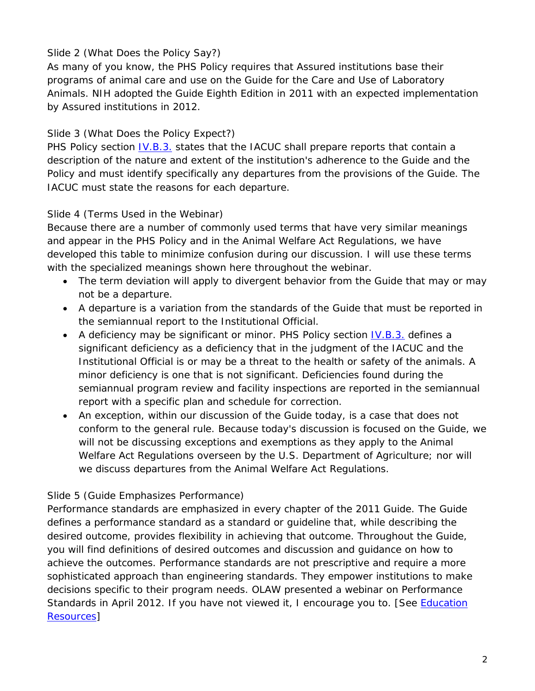# Slide 2 (What Does the Policy Say?)

As many of you know, the PHS Policy requires that Assured institutions base their programs of animal care and use on the *Guide for the Care and Use of Laboratory Animals*. NIH adopted the *Guide* Eighth Edition in 2011 with an expected implementation by Assured institutions in 2012.

# Slide 3 (What Does the Policy Expect?)

PHS Policy section *IV.B.3.* states that the IACUC shall prepare reports that contain a description of the nature and extent of the institution's adherence to the *Guide* and the Policy and must identify specifically any departures from the provisions of the *Guide*. The IACUC must state the reasons for each departure.

# Slide 4 (Terms Used in the Webinar)

Because there are a number of commonly used terms that have very similar meanings and appear in the PHS Policy and in the Animal Welfare Act Regulations, we have developed this table to minimize confusion during our discussion. I will use these terms with the specialized meanings shown here throughout the webinar.

- The term deviation will apply to divergent behavior from the *Guide* that may or may not be a departure.
- A departure is a variation from the standards of the *Guide* that must be reported in the semiannual report to the Institutional Official.
- A deficiency may be significant or minor. PHS Policy section  $\underline{IV.B.3.}$  defines a significant deficiency as a deficiency that in the judgment of the IACUC and the Institutional Official is or may be a threat to the health or safety of the animals. A minor deficiency is one that is not significant. Deficiencies found during the semiannual program review and facility inspections are reported in the semiannual report with a specific plan and schedule for correction.
- An exception, within our discussion of the *Guide* today, is a case that does not conform to the general rule. Because today's discussion is focused on the *Guide*, we will not be discussing exceptions and exemptions as they apply to the Animal Welfare Act Regulations overseen by the U.S. Department of Agriculture; nor will we discuss departures from the Animal Welfare Act Regulations.

## Slide 5 (*Guide* Emphasizes Performance)

Performance standards are emphasized in every chapter of the 2011 *Guide*. The *Guide* defines a performance standard as a standard or guideline that, while describing the desired outcome, provides flexibility in achieving that outcome. Throughout the *Guide*, you will find definitions of desired outcomes and discussion and guidance on how to achieve the outcomes. Performance standards are not prescriptive and require a more sophisticated approach than engineering standards. They empower institutions to make decisions specific to their program needs. OLAW presented a webinar on Performance Standards in April 2012. If you have not viewed it, I encourage you to. [See *Education* [Resources\]](http://grants.nih.gov/grants/olaw/educational_resources.htm)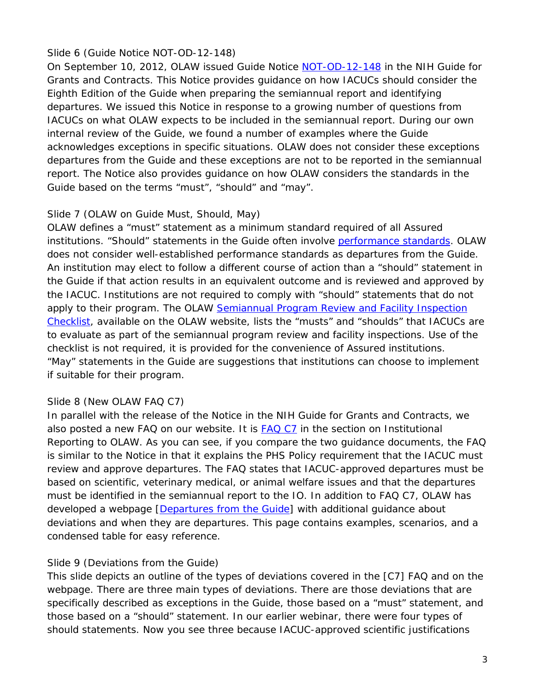## Slide 6 (Guide Notice NOT-OD-12-148)

On September 10, 2012, OLAW issued Guide Notice [NOT-OD-12-148](http://grants.nih.gov/grants/guide/notice-files/NOT-OD-12-148.html) in the NIH Guide for Grants and Contracts. This Notice provides guidance on how IACUCs should consider the Eighth Edition of the *Guide* when preparing the semiannual report and identifying departures. We issued this Notice in response to a growing number of questions from IACUCs on what OLAW expects to be included in the semiannual report. During our own internal review of the *Guide*, we found a number of examples where the *Guide* acknowledges exceptions in specific situations. OLAW does not consider these exceptions departures from the *Guide* and these exceptions are not to be reported in the semiannual report. The Notice also provides guidance on how OLAW considers the standards in the *Guide* based on the terms "must", "should" and "may".

## Slide 7 (OLAW on *Guide* Must, Should, May)

OLAW defines a "must" statement as a minimum standard required of all Assured institutions. "Should" statements in the *Guide* often involve [performance standards.](http://grants.nih.gov/grants/olaw/positionstatement_guide.htm#performance) OLAW does not consider well-established performance standards as departures from the *Guide*. An institution may elect to follow a different course of action than a "should" statement in the *Guide* if that action results in an equivalent outcome and is reviewed and approved by the IACUC. Institutions are not required to comply with "should" statements that do not apply to their program. The OLAW [Semiannual Program](http://grants.nih.gov/grants/olaw/sampledoc/cheklist.htm) Review and Facility Inspection [Checklist,](http://grants.nih.gov/grants/olaw/sampledoc/cheklist.htm) available on the OLAW website, lists the "musts" and "shoulds" that IACUCs are to evaluate as part of the semiannual program review and facility inspections. Use of the checklist is not required, it is provided for the convenience of Assured institutions. "May" statements in the *Guide* are suggestions that institutions can choose to implement if suitable for their program.

## Slide 8 (New OLAW FAQ C7)

In parallel with the release of the Notice in the NIH Guide for Grants and Contracts, we also posted a new FAQ on our website. It is [FAQ C7](http://grants.nih.gov/grants/olaw/faqs.htm#c7) in the section on Institutional Reporting to OLAW. As you can see, if you compare the two guidance documents, the FAQ is similar to the Notice in that it explains the PHS Policy requirement that the IACUC must review and approve departures. The FAQ states that IACUC-approved departures must be based on scientific, veterinary medical, or animal welfare issues and that the departures must be identified in the semiannual report to the IO. In addition to FAQ C7, OLAW has developed a webpage [\[Departures from the](http://grants.nih.gov/grants/olaw/departures.htm) *Guide*] with additional guidance about deviations and when they are departures. This page contains examples, scenarios, and a condensed table for easy reference.

## Slide 9 (Deviations from the *Guide*)

This slide depicts an outline of the types of deviations covered in the [C7] FAQ and on the webpage. There are three main types of deviations. There are those deviations that are specifically described as exceptions in the *Guide*, those based on a "must" statement, and those based on a "should" statement. In our earlier webinar, there were four types of should statements. Now you see three because IACUC-approved scientific justifications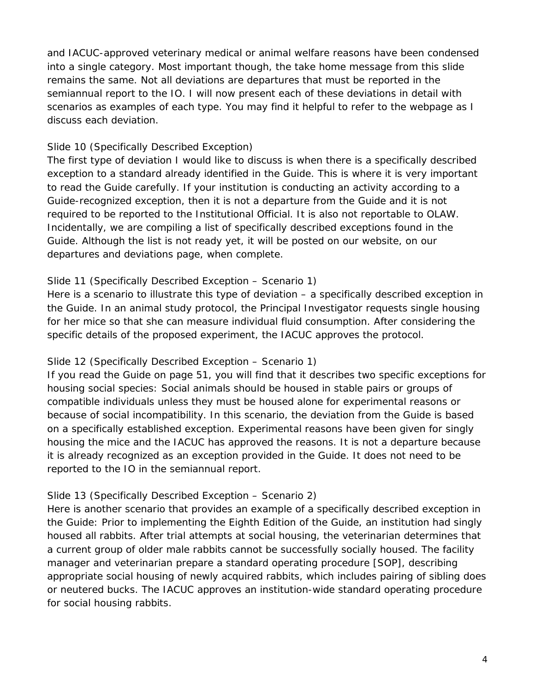and IACUC-approved veterinary medical or animal welfare reasons have been condensed into a single category. Most important though, the take home message from this slide remains the same. Not all deviations are departures that must be reported in the semiannual report to the IO. I will now present each of these deviations in detail with scenarios as examples of each type. You may find it helpful to refer to the webpage as I discuss each deviation.

### Slide 10 (Specifically Described Exception)

The first type of deviation I would like to discuss is when there is a specifically described exception to a standard already identified in the *Guide*. This is where it is very important to read the *Guide* carefully. If your institution is conducting an activity according to a *Guide*-recognized exception, then it is not a departure from the *Guide* and it is not required to be reported to the Institutional Official. It is also not reportable to OLAW. Incidentally, we are compiling a list of specifically described exceptions found in the *Guide*. Although the list is not ready yet, it will be posted on our website, on our departures and deviations page, when complete.

### Slide 11 (Specifically Described Exception – Scenario 1)

Here is a scenario to illustrate this type of deviation – a specifically described exception in the *Guide*. In an animal study protocol, the Principal Investigator requests single housing for her mice so that she can measure individual fluid consumption. After considering the specific details of the proposed experiment, the IACUC approves the protocol.

#### Slide 12 (Specifically Described Exception – Scenario 1)

If you read the *Guide* on page 51, you will find that it describes two specific exceptions for housing social species: Social animals should be housed in stable pairs or groups of compatible individuals unless they must be housed alone for experimental reasons or because of social incompatibility. In this scenario, the deviation from the *Guide* is based on a specifically established exception. Experimental reasons have been given for singly housing the mice and the IACUC has approved the reasons. It is not a departure because it is already recognized as an exception provided in the *Guide*. It does not need to be reported to the IO in the semiannual report.

#### Slide 13 (Specifically Described Exception – Scenario 2)

Here is another scenario that provides an example of a specifically described exception in the *Guide*: Prior to implementing the Eighth Edition of the *Guide*, an institution had singly housed all rabbits. After trial attempts at social housing, the veterinarian determines that a current group of older male rabbits cannot be successfully socially housed. The facility manager and veterinarian prepare a standard operating procedure [SOP], describing appropriate social housing of newly acquired rabbits, which includes pairing of sibling does or neutered bucks. The IACUC approves an institution-wide standard operating procedure for social housing rabbits.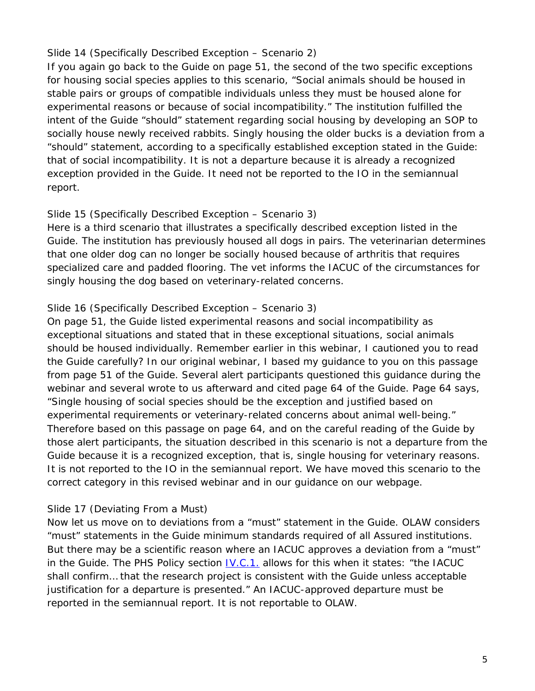## Slide 14 (Specifically Described Exception – Scenario 2)

If you again go back to the *Guide* on page 51, the second of the two specific exceptions for housing social species applies to this scenario, "Social animals should be housed in stable pairs or groups of compatible individuals unless they must be housed alone for experimental reasons or because of social incompatibility." The institution fulfilled the intent of the *Guide* "should" statement regarding social housing by developing an SOP to socially house newly received rabbits. Singly housing the older bucks is a deviation from a "should" statement, according to a specifically established exception stated in the *Guide*: that of social incompatibility. It is not a departure because it is already a recognized exception provided in the *Guide*. It need not be reported to the IO in the semiannual report.

### Slide 15 (Specifically Described Exception – Scenario 3)

Here is a third scenario that illustrates a specifically described exception listed in the *Guide*. The institution has previously housed all dogs in pairs. The veterinarian determines that one older dog can no longer be socially housed because of arthritis that requires specialized care and padded flooring. The vet informs the IACUC of the circumstances for singly housing the dog based on veterinary-related concerns.

### Slide 16 (Specifically Described Exception – Scenario 3)

On page 51, the *Guide* listed experimental reasons and social incompatibility as exceptional situations and stated that in these exceptional situations, social animals should be housed individually. Remember earlier in this webinar, I cautioned you to read the *Guide* carefully? In our original webinar, I based my guidance to you on this passage from page 51 of the *Guide*. Several alert participants questioned this guidance during the webinar and several wrote to us afterward and cited page 64 of the *Guide*. Page 64 says, "Single housing of social species should be the exception and justified based on experimental requirements or veterinary-related concerns about animal well-being." Therefore based on this passage on page 64, and on the careful reading of the *Guide* by those alert participants, the situation described in this scenario is not a departure from the *Guide* because it is a recognized exception, that is, single housing for veterinary reasons. It is not reported to the IO in the semiannual report. We have moved this scenario to the correct category in this revised webinar and in our guidance on our webpage.

## Slide 17 (Deviating From a Must)

Now let us move on to deviations from a "must" statement in the *Guide*. OLAW considers "must" statements in the *Guide* minimum standards required of all Assured institutions. But there may be a scientific reason where an IACUC approves a deviation from a "must" in the *Guide*. The PHS Policy section **IV.C.1.** allows for this when it states: "the IACUC shall confirm… that the research project is consistent with the *Guide* unless acceptable justification for a departure is presented." An IACUC-approved departure must be reported in the semiannual report. It is not reportable to OLAW.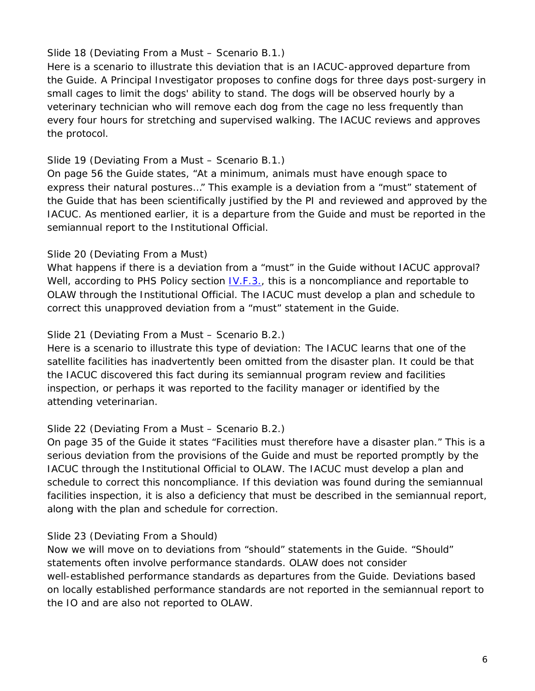## Slide 18 (Deviating From a Must – Scenario B.1.)

Here is a scenario to illustrate this deviation that is an IACUC-approved departure from the *Guide*. A Principal Investigator proposes to confine dogs for three days post-surgery in small cages to limit the dogs' ability to stand. The dogs will be observed hourly by a veterinary technician who will remove each dog from the cage no less frequently than every four hours for stretching and supervised walking. The IACUC reviews and approves the protocol.

## Slide 19 (Deviating From a Must – Scenario B.1.)

On page 56 the *Guide* states, "At a minimum, animals must have enough space to express their natural postures…" This example is a deviation from a "must" statement of the *Guide* that has been scientifically justified by the PI and reviewed and approved by the IACUC. As mentioned earlier, it is a departure from the *Guide* and must be reported in the semiannual report to the Institutional Official.

### Slide 20 (Deviating From a Must)

What happens if there is a deviation from a "must" in the *Guide* without IACUC approval? Well, according to PHS Policy section  $\underline{IV.F.3.}$ , this is a noncompliance and reportable to OLAW through the Institutional Official. The IACUC must develop a plan and schedule to correct this unapproved deviation from a "must" statement in the *Guide*.

### Slide 21 (Deviating From a Must – Scenario B.2.)

Here is a scenario to illustrate this type of deviation: The IACUC learns that one of the satellite facilities has inadvertently been omitted from the disaster plan. It could be that the IACUC discovered this fact during its semiannual program review and facilities inspection, or perhaps it was reported to the facility manager or identified by the attending veterinarian.

#### Slide 22 (Deviating From a Must – Scenario B.2.)

On page 35 of the *Guide* it states "Facilities must therefore have a disaster plan." This is a serious deviation from the provisions of the *Guide* and must be reported promptly by the IACUC through the Institutional Official to OLAW. The IACUC must develop a plan and schedule to correct this noncompliance. If this deviation was found during the semiannual facilities inspection, it is also a deficiency that must be described in the semiannual report, along with the plan and schedule for correction.

#### Slide 23 (Deviating From a Should)

Now we will move on to deviations from "should" statements in the *Guide*. "Should" statements often involve performance standards. OLAW does not consider well-established performance standards as departures from the *Guide*. Deviations based on locally established performance standards are not reported in the semiannual report to the IO and are also not reported to OLAW.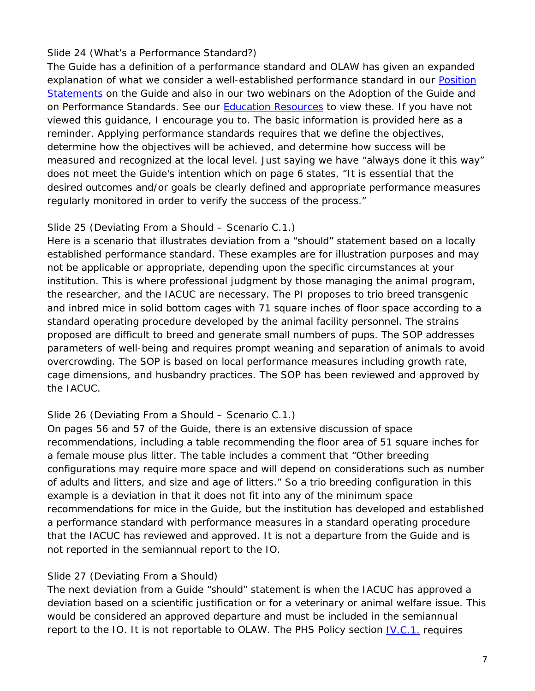### Slide 24 (What's a Performance Standard?)

The *Guide* has a definition of a performance standard and OLAW has given an expanded explanation of what we consider a well-established performance standard in our Position [Statements](http://grants.nih.gov/grants/olaw/positionstatement_guide.htm#performance) on the *Guide* and also in our two webinars on the Adoption of the *Guide* and on Performance Standards. See our **[Education Resources](http://grants.nih.gov/grants/olaw/educational_resources.htm)** to view these. If you have not viewed this guidance, I encourage you to. The basic information is provided here as a reminder. Applying performance standards requires that we define the objectives, determine how the objectives will be achieved, and determine how success will be measured and recognized at the local level. Just saying we have "always done it this way" does not meet the *Guide*'s intention which on page 6 states, "It is essential that the desired outcomes and/or goals be clearly defined and appropriate performance measures regularly monitored in order to verify the success of the process."

### Slide 25 (Deviating From a Should – Scenario C.1.)

Here is a scenario that illustrates deviation from a "should" statement based on a locally established performance standard. These examples are for illustration purposes and may not be applicable or appropriate, depending upon the specific circumstances at your institution. This is where professional judgment by those managing the animal program, the researcher, and the IACUC are necessary. The PI proposes to trio breed transgenic and inbred mice in solid bottom cages with 71 square inches of floor space according to a standard operating procedure developed by the animal facility personnel. The strains proposed are difficult to breed and generate small numbers of pups. The SOP addresses parameters of well-being and requires prompt weaning and separation of animals to avoid overcrowding. The SOP is based on local performance measures including growth rate, cage dimensions, and husbandry practices. The SOP has been reviewed and approved by the IACUC.

## Slide 26 (Deviating From a Should – Scenario C.1.)

On pages 56 and 57 of the *Guide*, there is an extensive discussion of space recommendations, including a table recommending the floor area of 51 square inches for a female mouse plus litter. The table includes a comment that "Other breeding configurations may require more space and will depend on considerations such as number of adults and litters, and size and age of litters." So a trio breeding configuration in this example is a deviation in that it does not fit into any of the minimum space recommendations for mice in the *Guide*, but the institution has developed and established a performance standard with performance measures in a standard operating procedure that the IACUC has reviewed and approved. It is not a departure from the *Guide* and is not reported in the semiannual report to the IO.

## Slide 27 (Deviating From a Should)

The next deviation from a *Guide* "should" statement is when the IACUC has approved a deviation based on a scientific justification or for a veterinary or animal welfare issue. This would be considered an approved departure and must be included in the semiannual report to the IO. It is not reportable to OLAW. The PHS Policy section [IV.C.1.](http://grants.nih.gov/grants/olaw/references/phspol.htm#ReviewofPHS-ConductedorSupportedResearchProjects) requires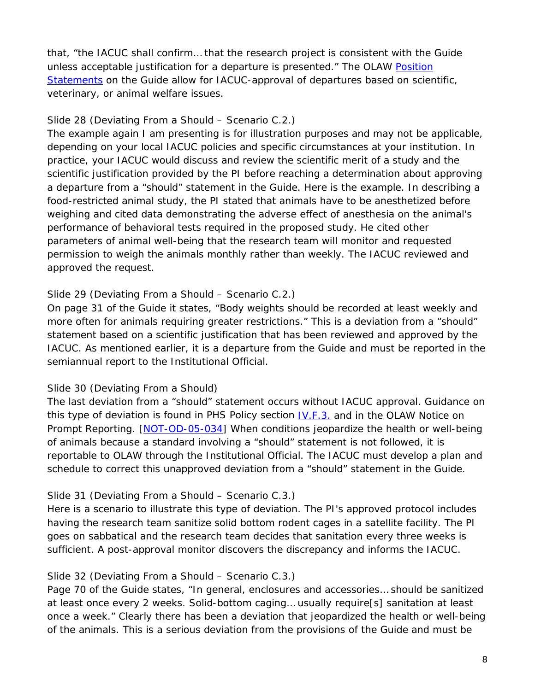that, "the IACUC shall confirm… that the research project is consistent with the *Guide* unless acceptable justification for a departure is presented." The OLAW Position [Statements](http://grants.nih.gov/grants/olaw/positionstatement_guide.htm) on the *Guide* allow for IACUC-approval of departures based on scientific, veterinary, or animal welfare issues.

### Slide 28 (Deviating From a Should – Scenario C.2.)

The example again I am presenting is for illustration purposes and may not be applicable, depending on your local IACUC policies and specific circumstances at your institution. In practice, your IACUC would discuss and review the scientific merit of a study and the scientific justification provided by the PI before reaching a determination about approving a departure from a "should" statement in the *Guide*. Here is the example. In describing a food-restricted animal study, the PI stated that animals have to be anesthetized before weighing and cited data demonstrating the adverse effect of anesthesia on the animal's performance of behavioral tests required in the proposed study. He cited other parameters of animal well-being that the research team will monitor and requested permission to weigh the animals monthly rather than weekly. The IACUC reviewed and approved the request.

### Slide 29 (Deviating From a Should – Scenario C.2.)

On page 31 of the *Guide* it states, "Body weights should be recorded at least weekly and more often for animals requiring greater restrictions." This is a deviation from a "should" statement based on a scientific justification that has been reviewed and approved by the IACUC. As mentioned earlier, it is a departure from the *Guide* and must be reported in the semiannual report to the Institutional Official.

#### Slide 30 (Deviating From a Should)

The last deviation from a "should" statement occurs without IACUC approval. Guidance on this type of deviation is found in PHS Policy section [IV.F.3.](http://grants.nih.gov/grants/olaw/references/phspol.htm#ReportingRequirements) and in the OLAW Notice on Prompt Reporting. [\[NOT-OD-05-034\]](http://grants.nih.gov/grants/guide/notice-files/NOT-OD-05-034.html) When conditions jeopardize the health or well-being of animals because a standard involving a "should" statement is not followed, it is reportable to OLAW through the Institutional Official. The IACUC must develop a plan and schedule to correct this unapproved deviation from a "should" statement in the *Guide*.

## Slide 31 (Deviating From a Should – Scenario C.3.)

Here is a scenario to illustrate this type of deviation. The PI's approved protocol includes having the research team sanitize solid bottom rodent cages in a satellite facility. The PI goes on sabbatical and the research team decides that sanitation every three weeks is sufficient. A post-approval monitor discovers the discrepancy and informs the IACUC.

#### Slide 32 (Deviating From a Should – Scenario C.3.)

Page 70 of the *Guide* states, "In general, enclosures and accessories… should be sanitized at least once every 2 weeks. Solid-bottom caging… usually require[s] sanitation at least once a week." Clearly there has been a deviation that jeopardized the health or well-being of the animals. This is a serious deviation from the provisions of the *Guide* and must be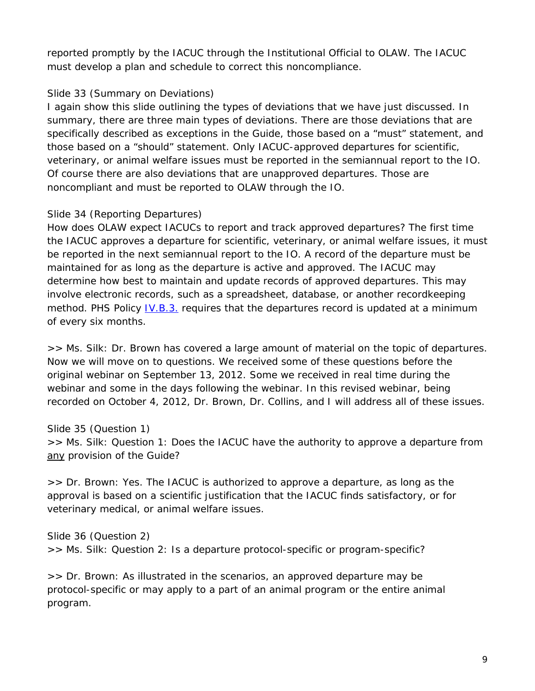reported promptly by the IACUC through the Institutional Official to OLAW. The IACUC must develop a plan and schedule to correct this noncompliance.

### Slide 33 (Summary on Deviations)

I again show this slide outlining the types of deviations that we have just discussed. In summary, there are three main types of deviations. There are those deviations that are specifically described as exceptions in the *Guide*, those based on a "must" statement, and those based on a "should" statement. Only IACUC-approved departures for scientific, veterinary, or animal welfare issues must be reported in the semiannual report to the IO. Of course there are also deviations that are unapproved departures. Those are noncompliant and must be reported to OLAW through the IO.

## Slide 34 (Reporting Departures)

How does OLAW expect IACUCs to report and track approved departures? The first time the IACUC approves a departure for scientific, veterinary, or animal welfare issues, it must be reported in the next semiannual report to the IO. A record of the departure must be maintained for as long as the departure is active and approved. The IACUC may determine how best to maintain and update records of approved departures. This may involve electronic records, such as a spreadsheet, database, or another recordkeeping method. PHS Policy [IV.B.3.](http://grants.nih.gov/grants/olaw/references/phspol.htm#FunctionsoftheInstitutionalAnimalCareandUseCommittee) requires that the departures record is updated at a minimum of every six months.

*>> Ms. Silk:* Dr. Brown has covered a large amount of material on the topic of departures. Now we will move on to questions. We received some of these questions before the original webinar on September 13, 2012. Some we received in real time during the webinar and some in the days following the webinar. In this revised webinar, being recorded on October 4, 2012, Dr. Brown, Dr. Collins, and I will address all of these issues.

Slide 35 (Question 1) *>> Ms. Silk:* Question 1: Does the IACUC have the authority to approve a departure from any provision of the *Guide*?

*>> Dr. Brown:* Yes. The IACUC is authorized to approve a departure, as long as the approval is based on a scientific justification that the IACUC finds satisfactory, or for veterinary medical, or animal welfare issues.

Slide 36 (Question 2) *>> Ms. Silk:* Question 2: Is a departure protocol-specific or program-specific?

*>> Dr. Brown:* As illustrated in the scenarios, an approved departure may be protocol-specific or may apply to a part of an animal program or the entire animal program.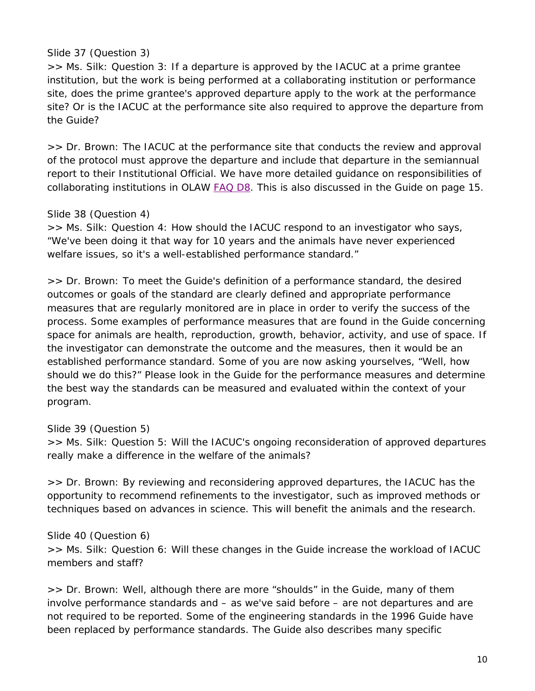#### Slide 37 (Question 3)

*>> Ms. Silk:* Question 3: If a departure is approved by the IACUC at a prime grantee institution, but the work is being performed at a collaborating institution or performance site, does the prime grantee's approved departure apply to the work at the performance site? Or is the IACUC at the performance site also required to approve the departure from the *Guide*?

*>> Dr. Brown:* The IACUC at the performance site that conducts the review and approval of the protocol must approve the departure and include that departure in the semiannual report to their Institutional Official. We have more detailed guidance on responsibilities of collaborating institutions in OLAW [FAQ D8.](http://grants.nih.gov/grants/olaw/faqs.htm#proto_8) This is also discussed in the *Guide* on page 15.

#### Slide 38 (Question 4)

*>> Ms. Silk:* Question 4: How should the IACUC respond to an investigator who says, "We've been doing it that way for 10 years and the animals have never experienced welfare issues, so it's a well-established performance standard."

*>> Dr. Brown:* To meet the *Guide*'s definition of a performance standard, the desired outcomes or goals of the standard are clearly defined and appropriate performance measures that are regularly monitored are in place in order to verify the success of the process. Some examples of performance measures that are found in the *Guide* concerning space for animals are health, reproduction, growth, behavior, activity, and use of space. If the investigator can demonstrate the outcome and the measures, then it would be an established performance standard. Some of you are now asking yourselves, "Well, how should we do this?" Please look in the *Guide* for the performance measures and determine the best way the standards can be measured and evaluated within the context of your program.

Slide 39 (Question 5)

*>> Ms. Silk:* Question 5: Will the IACUC's ongoing reconsideration of approved departures really make a difference in the welfare of the animals?

*>> Dr. Brown:* By reviewing and reconsidering approved departures, the IACUC has the opportunity to recommend refinements to the investigator, such as improved methods or techniques based on advances in science. This will benefit the animals and the research.

Slide 40 (Question 6) *>> Ms. Silk:* Question 6: Will these changes in the *Guide* increase the workload of IACUC members and staff?

*>> Dr. Brown:* Well, although there are more "shoulds" in the *Guide*, many of them involve performance standards and – as we've said before – are not departures and are not required to be reported. Some of the engineering standards in the 1996 *Guide* have been replaced by performance standards. The *Guide* also describes many specific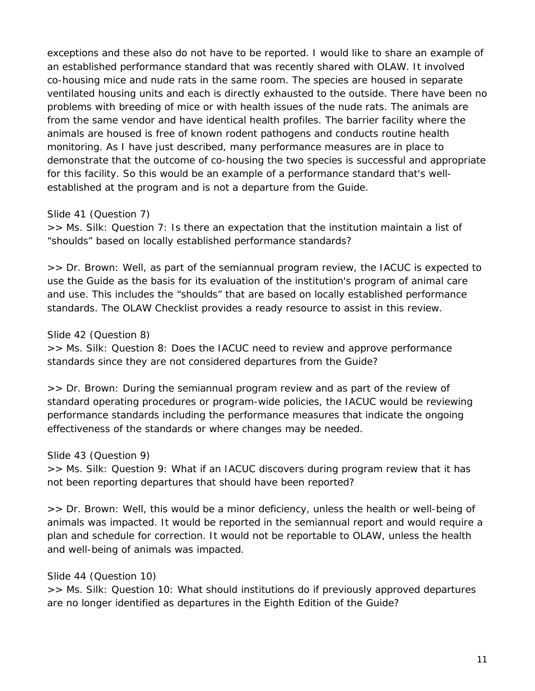exceptions and these also do not have to be reported. I would like to share an example of an established performance standard that was recently shared with OLAW. It involved co-housing mice and nude rats in the same room. The species are housed in separate ventilated housing units and each is directly exhausted to the outside. There have been no problems with breeding of mice or with health issues of the nude rats. The animals are from the same vendor and have identical health profiles. The barrier facility where the animals are housed is free of known rodent pathogens and conducts routine health monitoring. As I have just described, many performance measures are in place to demonstrate that the outcome of co-housing the two species is successful and appropriate for this facility. So this would be an example of a performance standard that's wellestablished at the program and is not a departure from the *Guide*.

### Slide 41 (Question 7)

*>> Ms. Silk:* Question 7: Is there an expectation that the institution maintain a list of "shoulds" based on locally established performance standards?

*>> Dr. Brown:* Well, as part of the semiannual program review, the IACUC is expected to use the *Guide* as the basis for its evaluation of the institution's program of animal care and use. This includes the "shoulds" that are based on locally established performance standards. The OLAW Checklist provides a ready resource to assist in this review.

Slide 42 (Question 8)

*>> Ms. Silk:* Question 8: Does the IACUC need to review and approve performance standards since they are not considered departures from the *Guide*?

*>> Dr. Brown:* During the semiannual program review and as part of the review of standard operating procedures or program-wide policies, the IACUC would be reviewing performance standards including the performance measures that indicate the ongoing effectiveness of the standards or where changes may be needed.

## Slide 43 (Question 9)

*>> Ms. Silk:* Question 9: What if an IACUC discovers during program review that it has not been reporting departures that should have been reported?

*>> Dr. Brown:* Well, this would be a minor deficiency, unless the health or well-being of animals was impacted. It would be reported in the semiannual report and would require a plan and schedule for correction. It would not be reportable to OLAW, unless the health and well-being of animals was impacted.

#### Slide 44 (Question 10)

*>> Ms. Silk:* Question 10: What should institutions do if previously approved departures are no longer identified as departures in the Eighth Edition of the *Guide*?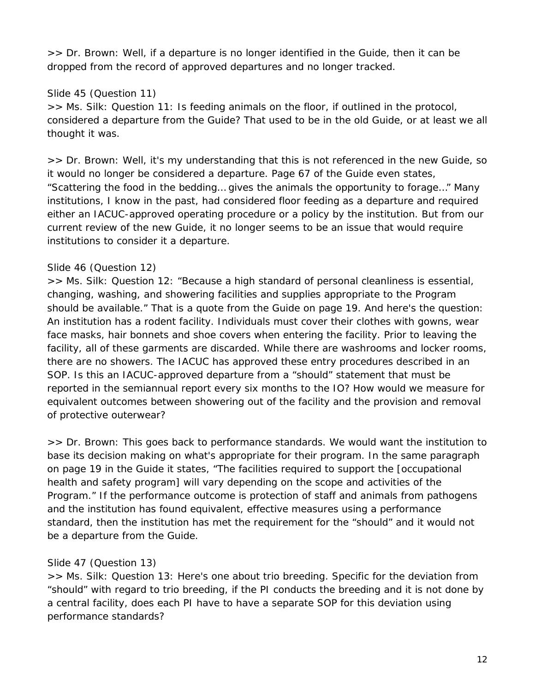*>> Dr. Brown:* Well, if a departure is no longer identified in the *Guide*, then it can be dropped from the record of approved departures and no longer tracked.

# Slide 45 (Question 11)

*>> Ms. Silk:* Question 11: Is feeding animals on the floor, if outlined in the protocol, considered a departure from the *Guide*? That used to be in the old *Guide*, or at least we all thought it was.

*>> Dr. Brown:* Well, it's my understanding that this is not referenced in the new *Guide*, so it would no longer be considered a departure. Page 67 of the *Guide* even states, "Scattering the food in the bedding… gives the animals the opportunity to forage…" Many institutions, I know in the past, had considered floor feeding as a departure and required either an IACUC-approved operating procedure or a policy by the institution. But from our current review of the new *Guide*, it no longer seems to be an issue that would require institutions to consider it a departure.

# Slide 46 (Question 12)

*>> Ms. Silk:* Question 12: "Because a high standard of personal cleanliness is essential, changing, washing, and showering facilities and supplies appropriate to the Program should be available." That is a quote from the *Guide* on page 19. And here's the question: An institution has a rodent facility. Individuals must cover their clothes with gowns, wear face masks, hair bonnets and shoe covers when entering the facility. Prior to leaving the facility, all of these garments are discarded. While there are washrooms and locker rooms, there are no showers. The IACUC has approved these entry procedures described in an SOP. Is this an IACUC-approved departure from a "should" statement that must be reported in the semiannual report every six months to the IO? How would we measure for equivalent outcomes between showering out of the facility and the provision and removal of protective outerwear?

*>> Dr. Brown:* This goes back to performance standards. We would want the institution to base its decision making on what's appropriate for their program. In the same paragraph on page 19 in the *Guide* it states, "The facilities required to support the [occupational health and safety program] will vary depending on the scope and activities of the Program." If the performance outcome is protection of staff and animals from pathogens and the institution has found equivalent, effective measures using a performance standard, then the institution has met the requirement for the "should" and it would not be a departure from the *Guide*.

# Slide 47 (Question 13*)*

*>> Ms. Silk:* Question 13: Here's one about trio breeding. Specific for the deviation from "should" with regard to trio breeding, if the PI conducts the breeding and it is not done by a central facility, does each PI have to have a separate SOP for this deviation using performance standards?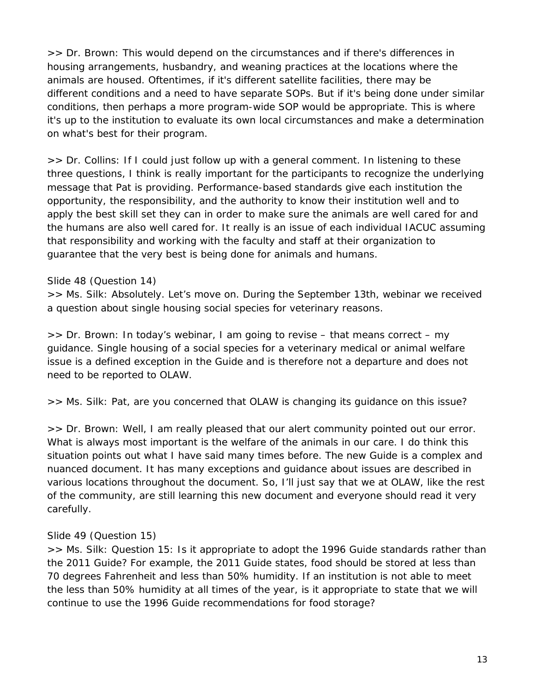*>> Dr. Brown:* This would depend on the circumstances and if there's differences in housing arrangements, husbandry, and weaning practices at the locations where the animals are housed. Oftentimes, if it's different satellite facilities, there may be different conditions and a need to have separate SOPs. But if it's being done under similar conditions, then perhaps a more program-wide SOP would be appropriate. This is where it's up to the institution to evaluate its own local circumstances and make a determination on what's best for their program.

*>> Dr. Collins:* If I could just follow up with a general comment. In listening to these three questions, I think is really important for the participants to recognize the underlying message that Pat is providing. Performance-based standards give each institution the opportunity, the responsibility, and the authority to know their institution well and to apply the best skill set they can in order to make sure the animals are well cared for and the humans are also well cared for. It really is an issue of each individual IACUC assuming that responsibility and working with the faculty and staff at their organization to guarantee that the very best is being done for animals and humans.

#### Slide 48 (Question 14)

*>> Ms. Silk:* Absolutely. Let's move on. During the September 13th, webinar we received a question about single housing social species for veterinary reasons.

*>> Dr. Brown:* In today's webinar, I am going to revise – that means correct – my guidance. Single housing of a social species for a veterinary medical or animal welfare issue is a defined exception in the *Guide* and is therefore not a departure and does not need to be reported to OLAW.

*>> Ms. Silk:* Pat, are you concerned that OLAW is changing its guidance on this issue?

*>> Dr. Brown:* Well, I am really pleased that our alert community pointed out our error. What is always most important is the welfare of the animals in our care. I do think this situation points out what I have said many times before. The new *Guide* is a complex and nuanced document. It has many exceptions and guidance about issues are described in various locations throughout the document. So, I'll just say that we at OLAW, like the rest of the community, are still learning this new document and everyone should read it very carefully.

#### Slide 49 (Question 15)

*>> Ms. Silk:* Question 15: Is it appropriate to adopt the 1996 *Guide* standards rather than the 2011 *Guide*? For example, the 2011 *Guide* states, food should be stored at less than 70 degrees Fahrenheit and less than 50% humidity. If an institution is not able to meet the less than 50% humidity at all times of the year, is it appropriate to state that we will continue to use the 1996 *Guide* recommendations for food storage?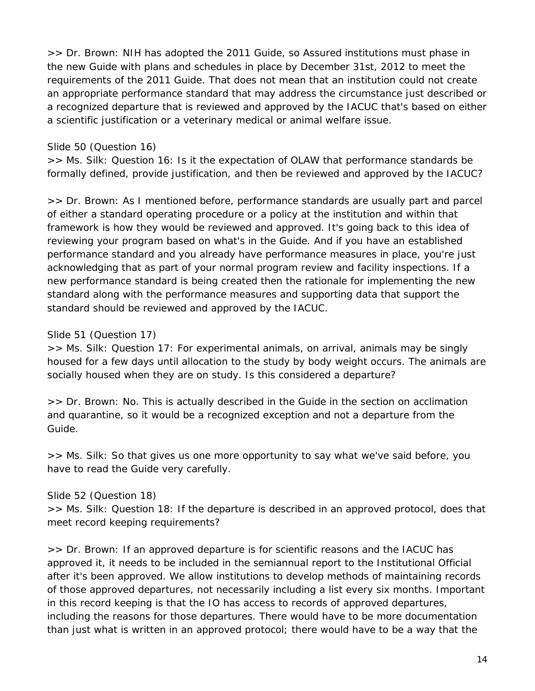*>> Dr. Brown:* NIH has adopted the 2011 *Guide*, so Assured institutions must phase in the new *Guide* with plans and schedules in place by December 31st, 2012 to meet the requirements of the 2011 *Guide*. That does not mean that an institution could not create an appropriate performance standard that may address the circumstance just described or a recognized departure that is reviewed and approved by the IACUC that's based on either a scientific justification or a veterinary medical or animal welfare issue.

### Slide 50 (Question 16)

*>> Ms. Silk:* Question 16: Is it the expectation of OLAW that performance standards be formally defined, provide justification, and then be reviewed and approved by the IACUC?

*>> Dr. Brown:* As I mentioned before, performance standards are usually part and parcel of either a standard operating procedure or a policy at the institution and within that framework is how they would be reviewed and approved. It's going back to this idea of reviewing your program based on what's in the *Guide*. And if you have an established performance standard and you already have performance measures in place, you're just acknowledging that as part of your normal program review and facility inspections. If a new performance standard is being created then the rationale for implementing the new standard along with the performance measures and supporting data that support the standard should be reviewed and approved by the IACUC.

### Slide 51 (Question 17)

*>> Ms. Silk:* Question 17: For experimental animals, on arrival, animals may be singly housed for a few days until allocation to the study by body weight occurs. The animals are socially housed when they are on study. Is this considered a departure?

*>> Dr. Brown:* No. This is actually described in the *Guide* in the section on acclimation and quarantine, so it would be a recognized exception and not a departure from the *Guide*.

*>> Ms. Silk:* So that gives us one more opportunity to say what we've said before, you have to read the *Guide* very carefully.

#### Slide 52 (Question 18)

*>> Ms. Silk:* Question 18: If the departure is described in an approved protocol, does that meet record keeping requirements?

*>> Dr. Brown:* If an approved departure is for scientific reasons and the IACUC has approved it, it needs to be included in the semiannual report to the Institutional Official after it's been approved. We allow institutions to develop methods of maintaining records of those approved departures, not necessarily including a list every six months. Important in this record keeping is that the IO has access to records of approved departures, including the reasons for those departures. There would have to be more documentation than just what is written in an approved protocol; there would have to be a way that the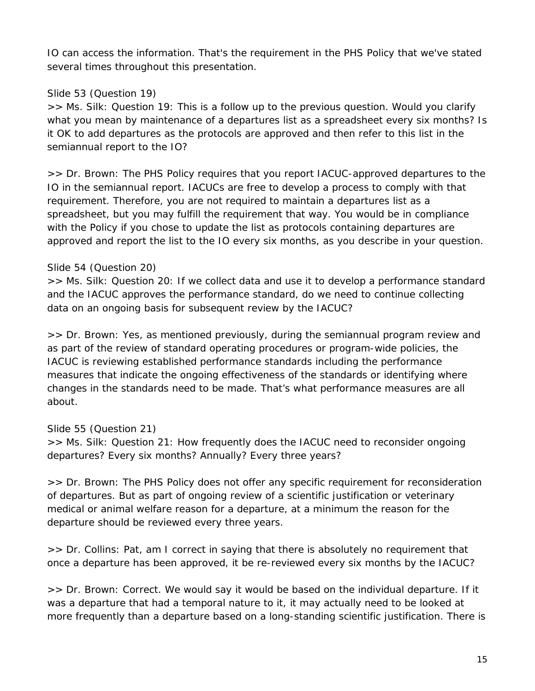IO can access the information. That's the requirement in the PHS Policy that we've stated several times throughout this presentation.

## Slide 53 (Question 19)

*>> Ms. Silk:* Question 19: This is a follow up to the previous question. Would you clarify what you mean by maintenance of a departures list as a spreadsheet every six months? Is it OK to add departures as the protocols are approved and then refer to this list in the semiannual report to the IO?

*>> Dr. Brown:* The PHS Policy requires that you report IACUC-approved departures to the IO in the semiannual report. IACUCs are free to develop a process to comply with that requirement. Therefore, you are not required to maintain a departures list as a spreadsheet, but you may fulfill the requirement that way. You would be in compliance with the Policy if you chose to update the list as protocols containing departures are approved and report the list to the IO every six months, as you describe in your question.

## Slide 54 (Question 20)

*>> Ms. Silk:* Question 20: If we collect data and use it to develop a performance standard and the IACUC approves the performance standard, do we need to continue collecting data on an ongoing basis for subsequent review by the IACUC?

*>> Dr. Brown:* Yes, as mentioned previously, during the semiannual program review and as part of the review of standard operating procedures or program-wide policies, the IACUC is reviewing established performance standards including the performance measures that indicate the ongoing effectiveness of the standards or identifying where changes in the standards need to be made. That's what performance measures are all about.

## Slide 55 (Question 21)

*>> Ms. Silk:* Question 21: How frequently does the IACUC need to reconsider ongoing departures? Every six months? Annually? Every three years?

*>> Dr. Brown:* The PHS Policy does not offer any specific requirement for reconsideration of departures. But as part of ongoing review of a scientific justification or veterinary medical or animal welfare reason for a departure, at a minimum the reason for the departure should be reviewed every three years.

*>> Dr. Collins:* Pat, am I correct in saying that there is absolutely no requirement that once a departure has been approved, it be re-reviewed every six months by the IACUC?

*>> Dr. Brown:* Correct. We would say it would be based on the individual departure. If it was a departure that had a temporal nature to it, it may actually need to be looked at more frequently than a departure based on a long-standing scientific justification. There is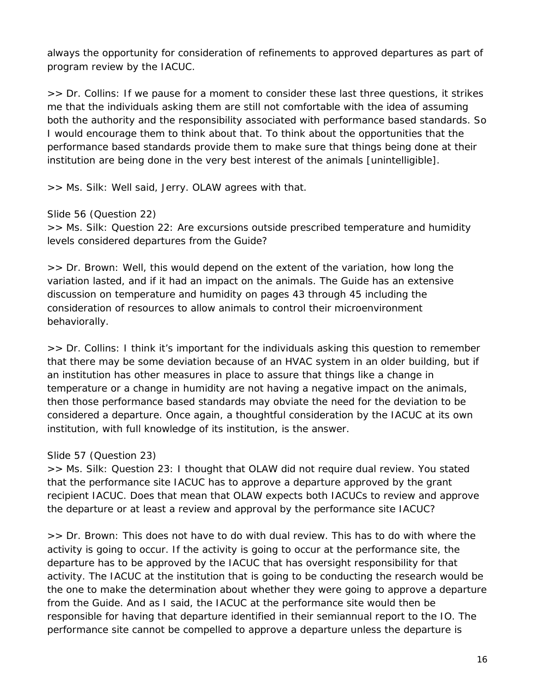always the opportunity for consideration of refinements to approved departures as part of program review by the IACUC.

*>> Dr. Collins:* If we pause for a moment to consider these last three questions, it strikes me that the individuals asking them are still not comfortable with the idea of assuming both the authority and the responsibility associated with performance based standards. So I would encourage them to think about that. To think about the opportunities that the performance based standards provide them to make sure that things being done at their institution are being done in the very best interest of the animals [unintelligible].

*>> Ms. Silk:* Well said, Jerry. OLAW agrees with that.

Slide 56 (Question 22)

*>> Ms. Silk:* Question 22: Are excursions outside prescribed temperature and humidity levels considered departures from the *Guide*?

*>> Dr. Brown:* Well, this would depend on the extent of the variation, how long the variation lasted, and if it had an impact on the animals. The *Guide* has an extensive discussion on temperature and humidity on pages 43 through 45 including the consideration of resources to allow animals to control their microenvironment behaviorally.

*>> Dr. Collins:* I think it's important for the individuals asking this question to remember that there may be some deviation because of an HVAC system in an older building, but if an institution has other measures in place to assure that things like a change in temperature or a change in humidity are not having a negative impact on the animals, then those performance based standards may obviate the need for the deviation to be considered a departure. Once again, a thoughtful consideration by the IACUC at its own institution, with full knowledge of its institution, is the answer.

Slide 57 (Question 23)

*>> Ms. Silk:* Question 23: I thought that OLAW did not require dual review. You stated that the performance site IACUC has to approve a departure approved by the grant recipient IACUC. Does that mean that OLAW expects both IACUCs to review and approve the departure or at least a review and approval by the performance site IACUC?

*>> Dr. Brown:* This does not have to do with dual review. This has to do with where the activity is going to occur. If the activity is going to occur at the performance site, the departure has to be approved by the IACUC that has oversight responsibility for that activity. The IACUC at the institution that is going to be conducting the research would be the one to make the determination about whether they were going to approve a departure from the *Guide*. And as I said, the IACUC at the performance site would then be responsible for having that departure identified in their semiannual report to the IO. The performance site cannot be compelled to approve a departure unless the departure is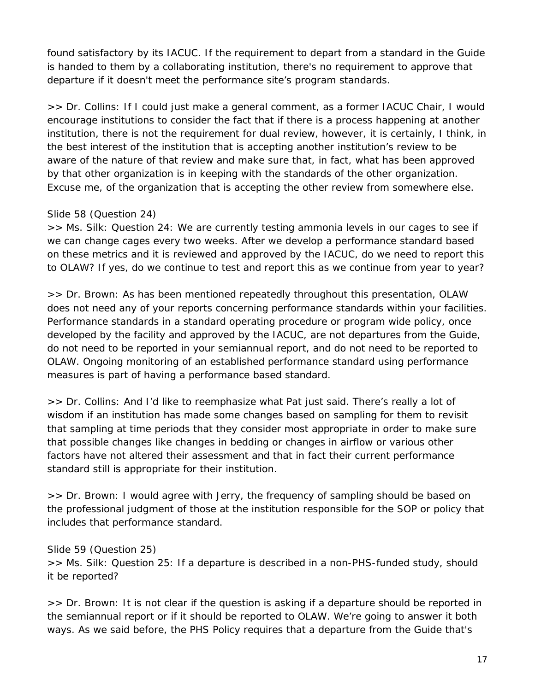found satisfactory by its IACUC. If the requirement to depart from a standard in the *Guide* is handed to them by a collaborating institution, there's no requirement to approve that departure if it doesn't meet the performance site's program standards.

*>> Dr. Collins:* If I could just make a general comment, as a former IACUC Chair, I would encourage institutions to consider the fact that if there is a process happening at another institution, there is not the requirement for dual review, however, it is certainly, I think, in the best interest of the institution that is accepting another institution's review to be aware of the nature of that review and make sure that, in fact, what has been approved by that other organization is in keeping with the standards of the other organization. Excuse me, of the organization that is accepting the other review from somewhere else.

### Slide 58 (Question 24)

*>> Ms. Silk:* Question 24: We are currently testing ammonia levels in our cages to see if we can change cages every two weeks. After we develop a performance standard based on these metrics and it is reviewed and approved by the IACUC, do we need to report this to OLAW? If yes, do we continue to test and report this as we continue from year to year?

*>> Dr. Brown:* As has been mentioned repeatedly throughout this presentation, OLAW does not need any of your reports concerning performance standards within your facilities. Performance standards in a standard operating procedure or program wide policy, once developed by the facility and approved by the IACUC, are not departures from the *Guide*, do not need to be reported in your semiannual report, and do not need to be reported to OLAW. Ongoing monitoring of an established performance standard using performance measures is part of having a performance based standard.

*>> Dr. Collins:* And I'd like to reemphasize what Pat just said. There's really a lot of wisdom if an institution has made some changes based on sampling for them to revisit that sampling at time periods that they consider most appropriate in order to make sure that possible changes like changes in bedding or changes in airflow or various other factors have not altered their assessment and that in fact their current performance standard still is appropriate for their institution.

*>> Dr. Brown:* I would agree with Jerry, the frequency of sampling should be based on the professional judgment of those at the institution responsible for the SOP or policy that includes that performance standard.

Slide 59 (Question 25) *>> Ms. Silk:* Question 25: If a departure is described in a non-PHS-funded study, should it be reported?

*>> Dr. Brown:* It is not clear if the question is asking if a departure should be reported in the semiannual report or if it should be reported to OLAW. We're going to answer it both ways. As we said before, the PHS Policy requires that a departure from the *Guide* that's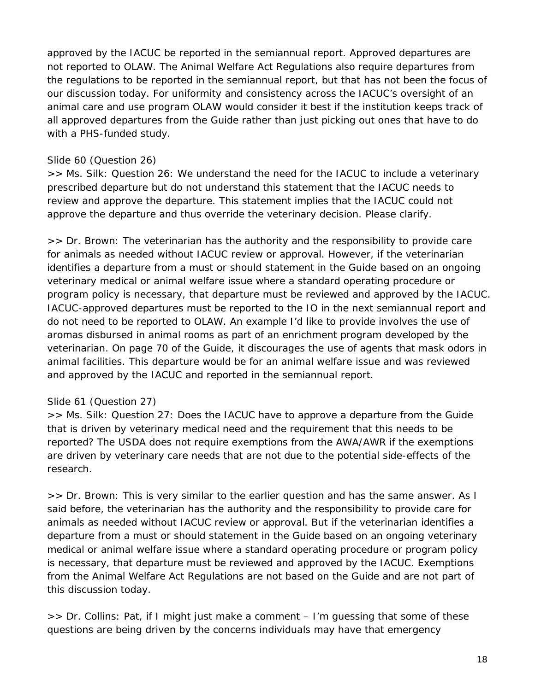approved by the IACUC be reported in the semiannual report. Approved departures are not reported to OLAW. The Animal Welfare Act Regulations also require departures from the regulations to be reported in the semiannual report, but that has not been the focus of our discussion today. For uniformity and consistency across the IACUC's oversight of an animal care and use program OLAW would consider it best if the institution keeps track of all approved departures from the *Guide* rather than just picking out ones that have to do with a PHS-funded study.

### Slide 60 (Question 26)

*>> Ms. Silk:* Question 26: We understand the need for the IACUC to include a veterinary prescribed departure but do not understand this statement that the IACUC needs to review and approve the departure. This statement implies that the IACUC could not approve the departure and thus override the veterinary decision. Please clarify.

*>> Dr. Brown:* The veterinarian has the authority and the responsibility to provide care for animals as needed without IACUC review or approval. However, if the veterinarian identifies a departure from a must or should statement in the *Guide* based on an ongoing veterinary medical or animal welfare issue where a standard operating procedure or program policy is necessary, that departure must be reviewed and approved by the IACUC. IACUC-approved departures must be reported to the IO in the next semiannual report and do not need to be reported to OLAW. An example I'd like to provide involves the use of aromas disbursed in animal rooms as part of an enrichment program developed by the veterinarian. On page 70 of the *Guide*, it discourages the use of agents that mask odors in animal facilities. This departure would be for an animal welfare issue and was reviewed and approved by the IACUC and reported in the semiannual report.

#### Slide 61 (Question 27)

*>> Ms. Silk:* Question 27: Does the IACUC have to approve a departure from the *Guide* that is driven by veterinary medical need and the requirement that this needs to be reported? The USDA does not require exemptions from the AWA/AWR if the exemptions are driven by veterinary care needs that are not due to the potential side-effects of the research.

*>> Dr. Brown:* This is very similar to the earlier question and has the same answer. As I said before, the veterinarian has the authority and the responsibility to provide care for animals as needed without IACUC review or approval. But if the veterinarian identifies a departure from a must or should statement in the *Guide* based on an ongoing veterinary medical or animal welfare issue where a standard operating procedure or program policy is necessary, that departure must be reviewed and approved by the IACUC. Exemptions from the Animal Welfare Act Regulations are not based on the *Guide* and are not part of this discussion today.

*>> Dr. Collins:* Pat, if I might just make a comment – I'm guessing that some of these questions are being driven by the concerns individuals may have that emergency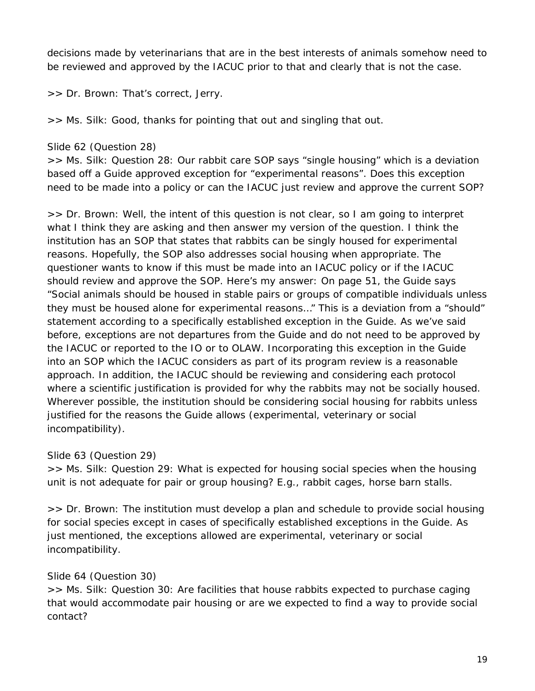decisions made by veterinarians that are in the best interests of animals somehow need to be reviewed and approved by the IACUC prior to that and clearly that is not the case.

*>> Dr. Brown:* That's correct, Jerry.

*>> Ms. Silk:* Good, thanks for pointing that out and singling that out.

Slide 62 (Question 28)

*>> Ms. Silk:* Question 28: Our rabbit care SOP says "single housing" which is a deviation based off a *Guide* approved exception for "experimental reasons". Does this exception need to be made into a policy or can the IACUC just review and approve the current SOP?

*>> Dr. Brown:* Well, the intent of this question is not clear, so I am going to interpret what I think they are asking and then answer my version of the question. I think the institution has an SOP that states that rabbits can be singly housed for experimental reasons. Hopefully, the SOP also addresses social housing when appropriate. The questioner wants to know if this must be made into an IACUC policy or if the IACUC should review and approve the SOP. Here's my answer: On page 51, the *Guide* says "Social animals should be housed in stable pairs or groups of compatible individuals unless they must be housed alone for experimental reasons…" This is a deviation from a "should" statement according to a specifically established exception in the *Guide*. As we've said before, exceptions are not departures from the *Guide* and do not need to be approved by the IACUC or reported to the IO or to OLAW. Incorporating this exception in the *Guide*  into an SOP which the IACUC considers as part of its program review is a reasonable approach. In addition, the IACUC should be reviewing and considering each protocol where a scientific justification is provided for why the rabbits may not be socially housed. Wherever possible, the institution should be considering social housing for rabbits unless justified for the reasons the *Guide* allows (experimental, veterinary or social incompatibility).

Slide 63 (Question 29)

*>> Ms. Silk:* Question 29: What is expected for housing social species when the housing unit is not adequate for pair or group housing? E.g., rabbit cages, horse barn stalls.

*>> Dr. Brown:* The institution must develop a plan and schedule to provide social housing for social species except in cases of specifically established exceptions in the *Guide*. As just mentioned, the exceptions allowed are experimental, veterinary or social incompatibility*.*

#### Slide 64 (Question 30)

*>> Ms. Silk:* Question 30: Are facilities that house rabbits expected to purchase caging that would accommodate pair housing or are we expected to find a way to provide social contact?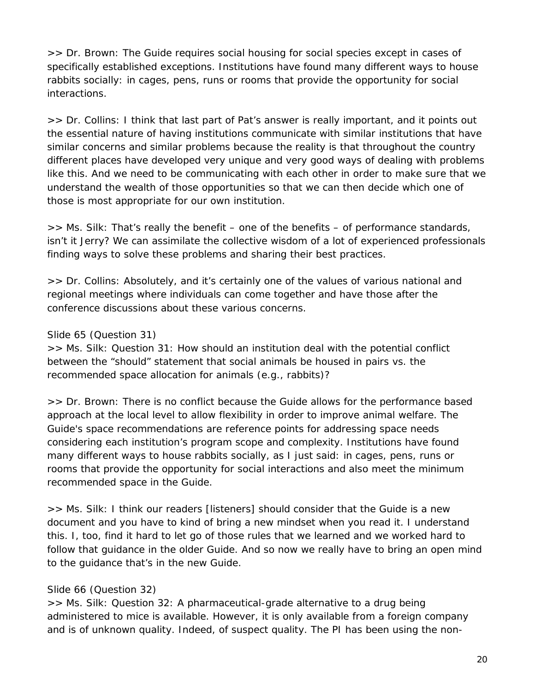*>> Dr. Brown:* The *Guide* requires social housing for social species except in cases of specifically established exceptions. Institutions have found many different ways to house rabbits socially: in cages, pens, runs or rooms that provide the opportunity for social interactions.

>> *Dr. Collins:* I think that last part of Pat's answer is really important, and it points out the essential nature of having institutions communicate with similar institutions that have similar concerns and similar problems because the reality is that throughout the country different places have developed very unique and very good ways of dealing with problems like this. And we need to be communicating with each other in order to make sure that we understand the wealth of those opportunities so that we can then decide which one of those is most appropriate for our own institution.

>> *Ms. Silk:* That's really the benefit – one of the benefits – of performance standards, isn't it Jerry? We can assimilate the collective wisdom of a lot of experienced professionals finding ways to solve these problems and sharing their best practices.

>> *Dr. Collins:* Absolutely, and it's certainly one of the values of various national and regional meetings where individuals can come together and have those after the conference discussions about these various concerns.

### Slide 65 (Question 31)

*>> Ms. Silk:* Question 31: How should an institution deal with the potential conflict between the "should" statement that social animals be housed in pairs vs. the recommended space allocation for animals (e.g., rabbits)?

*>> Dr. Brown:* There is no conflict because the *Guide* allows for the performance based approach at the local level to allow flexibility in order to improve animal welfare. The *Guide's* space recommendations are reference points for addressing space needs considering each institution's program scope and complexity. Institutions have found many different ways to house rabbits socially, as I just said: in cages, pens, runs or rooms that provide the opportunity for social interactions and also meet the minimum recommended space in the *Guide*.

>> *Ms. Silk:* I think our readers [listeners] should consider that the *Guide* is a new document and you have to kind of bring a new mindset when you read it. I understand this. I, too, find it hard to let go of those rules that we learned and we worked hard to follow that guidance in the older *Guide*. And so now we really have to bring an open mind to the guidance that's in the new *Guide*.

## Slide 66 (Question 32)

*>> Ms. Silk:* Question 32: A pharmaceutical-grade alternative to a drug being administered to mice is available. However, it is only available from a foreign company and is of unknown quality. Indeed, of suspect quality. The PI has been using the non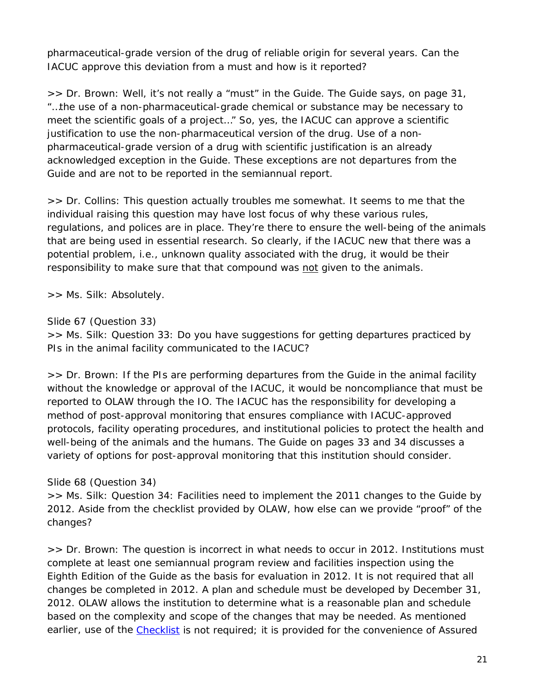pharmaceutical-grade version of the drug of reliable origin for several years. Can the IACUC approve this deviation from a must and how is it reported?

*>> Dr. Brown:* Well, it's not really a "must" in the *Guide*. The *Guide* says, on page 31, "…the use of a non-pharmaceutical-grade chemical or substance may be necessary to meet the scientific goals of a project…" So, yes, the IACUC can approve a scientific justification to use the non-pharmaceutical version of the drug. Use of a nonpharmaceutical-grade version of a drug with scientific justification is an already acknowledged exception in the *Guide*. These exceptions are not departures from the *Guide* and are not to be reported in the semiannual report.

>> *Dr. Collins:* This question actually troubles me somewhat. It seems to me that the individual raising this question may have lost focus of why these various rules, regulations, and polices are in place. They're there to ensure the well-being of the animals that are being used in essential research. So clearly, if the IACUC new that there was a potential problem, i.e., unknown quality associated with the drug, it would be their responsibility to make sure that that compound was not given to the animals.

>> *Ms. Silk:* Absolutely.

Slide 67 (Question 33)

*>> Ms. Silk:* Question 33: Do you have suggestions for getting departures practiced by PIs in the animal facility communicated to the IACUC?

*>> Dr. Brown:* If the PIs are performing departures from the *Guide* in the animal facility without the knowledge or approval of the IACUC, it would be noncompliance that must be reported to OLAW through the IO. The IACUC has the responsibility for developing a method of post-approval monitoring that ensures compliance with IACUC-approved protocols, facility operating procedures, and institutional policies to protect the health and well-being of the animals and the humans. The *Guide* on pages 33 and 34 discusses a variety of options for post-approval monitoring that this institution should consider.

## Slide 68 (Question 34)

*>> Ms. Silk:* Question 34: Facilities need to implement the 2011 changes to the *Guide* by 2012. Aside from the checklist provided by OLAW, how else can we provide "proof" of the changes?

*>> Dr. Brown*: The question is incorrect in what needs to occur in 2012. Institutions must complete at least one semiannual program review and facilities inspection using the Eighth Edition of the *Guide* as the basis for evaluation in 2012. It is not required that all changes be completed in 2012. A plan and schedule must be developed by December 31, 2012. OLAW allows the institution to determine what is a reasonable plan and schedule based on the complexity and scope of the changes that may be needed. As mentioned earlier, use of the [Checklist](http://grants.nih.gov/grants/olaw/sampledoc/cheklist.htm) is not required; it is provided for the convenience of Assured